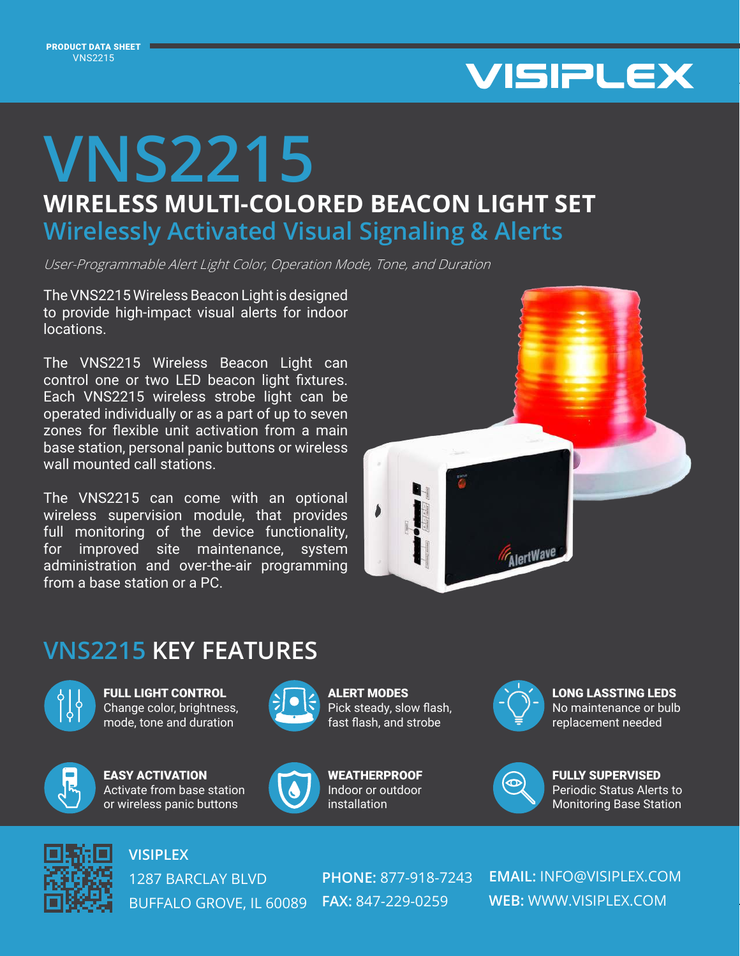

## **WIRELESS MULTI-COLORED BEACON LIGHT SET VNS2215 Wirelessly Activated Visual Signaling & Alerts**

User-Programmable Alert Light Color, Operation Mode, Tone, and Duration

The VNS2215 Wireless Beacon Light is designed to provide high-impact visual alerts for indoor locations.

The VNS2215 Wireless Beacon Light can control one or two LED beacon light fixtures. Each VNS2215 wireless strobe light can be operated individually or as a part of up to seven zones for flexible unit activation from a main base station, personal panic buttons or wireless wall mounted call stations.

The VNS2215 can come with an optional wireless supervision module, that provides full monitoring of the device functionality, for improved site maintenance, system administration and over-the-air programming from a base station or a PC.



## **VNS2215 KEY FEATURES**



FULL LIGHT CONTROL Change color, brightness, mode, tone and duration



EASY ACTIVATION Activate from base station or wireless panic buttons



ALERT MODES Pick steady, slow flash, fast flash, and strobe



**WEATHERPROOF** Indoor or outdoor installation



LONG LASSTING LEDS No maintenance or bulb replacement needed



FULLY SUPERVISED Periodic Status Alerts to Monitoring Base Station



**VISIPLEX**

1287 BARCLAY BLVD BUFFALO GROVE, IL 60089 **FAX:** 847-229-0259

**PHONE:** 877-918-7243

**EMAIL:** INFO@VISIPLEX.COM **WEB:** WWW.VISIPLEX.COM